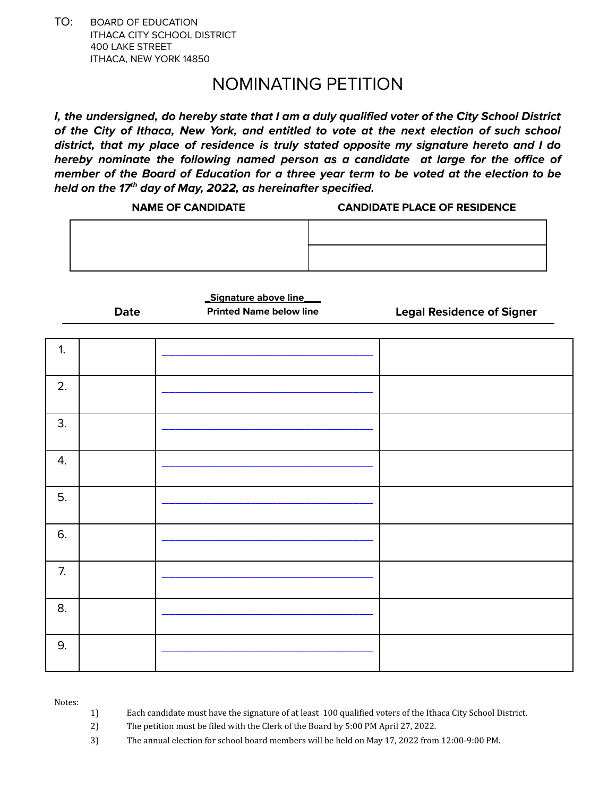TO: BOARD OF EDUCATION ITHACA CITY SCHOOL DISTRICT 400 LAKE STREET ITHACA, NEW YORK 14850

## NOMINATING PETITION

**I, the undersigned, do hereby state that I am a duly qualified voter of the City School District of the City of Ithaca, New York, and entitled to vote at the next election of such school district, that my place of residence is truly stated opposite my signature hereto and I do hereby nominate the following named person as a candidate at large for the office of member of the Board of Education for a three year term to be voted at the election to be held on the 17 th day of May, 2022, as hereinafter specified.**

| <b>NAME OF CANDIDATE</b> | <b>CANDIDATE PLACE OF RESIDENCE</b> |
|--------------------------|-------------------------------------|
|                          |                                     |
|                          |                                     |

**Date**

**\_Signature above line\_\_\_**

**Printed Name below line Legal Residence of Signer**

| 1. |  |  |
|----|--|--|
| 2. |  |  |
| 3. |  |  |
| 4. |  |  |
| 5. |  |  |
| 6. |  |  |
| 7. |  |  |
| 8. |  |  |
| 9. |  |  |

Notes:

- 1) Each candidate must have the signature of at least 100 qualified voters of the Ithaca City School District.
- 2) The petition must be filed with the Clerk of the Board by 5:00 PM April 27, 2022.
- 3) The annual election for school board members will be held on May 17, 2022 from 12:00-9:00 PM.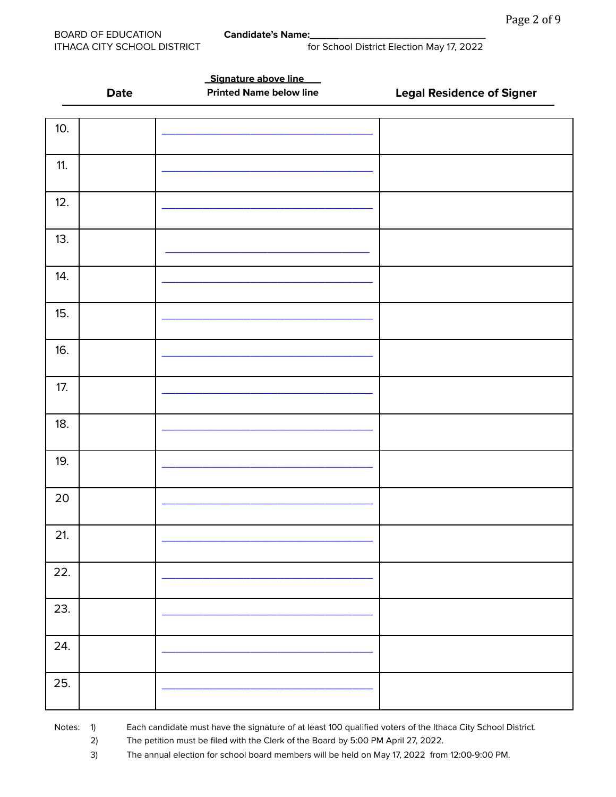|     |             | Signature above line           |                                  |
|-----|-------------|--------------------------------|----------------------------------|
|     | <b>Date</b> | <b>Printed Name below line</b> | <b>Legal Residence of Signer</b> |
|     |             |                                |                                  |
| 10. |             |                                |                                  |
|     |             |                                |                                  |
|     |             |                                |                                  |
| 11. |             |                                |                                  |
|     |             |                                |                                  |
| 12. |             |                                |                                  |
|     |             |                                |                                  |
| 13. |             |                                |                                  |
|     |             |                                |                                  |
|     |             |                                |                                  |
| 14. |             |                                |                                  |
|     |             |                                |                                  |
| 15. |             |                                |                                  |
|     |             |                                |                                  |
|     |             |                                |                                  |
| 16. |             |                                |                                  |
|     |             |                                |                                  |
| 17. |             |                                |                                  |
|     |             |                                |                                  |
| 18. |             |                                |                                  |
|     |             |                                |                                  |
|     |             |                                |                                  |
| 19. |             |                                |                                  |
|     |             |                                |                                  |
| 20  |             |                                |                                  |
|     |             |                                |                                  |
|     |             |                                |                                  |
| 21. |             |                                |                                  |
|     |             |                                |                                  |
| 22. |             |                                |                                  |
|     |             |                                |                                  |
| 23. |             |                                |                                  |
|     |             |                                |                                  |
|     |             |                                |                                  |
| 24. |             |                                |                                  |
|     |             |                                |                                  |
| 25. |             |                                |                                  |
|     |             |                                |                                  |
|     |             |                                |                                  |

Notes: 1) Each candidate must have the signature of at least 100 qualified voters of the Ithaca City School District.

2) The petition must be filed with the Clerk of the Board by 5:00 PM April 27, 2022.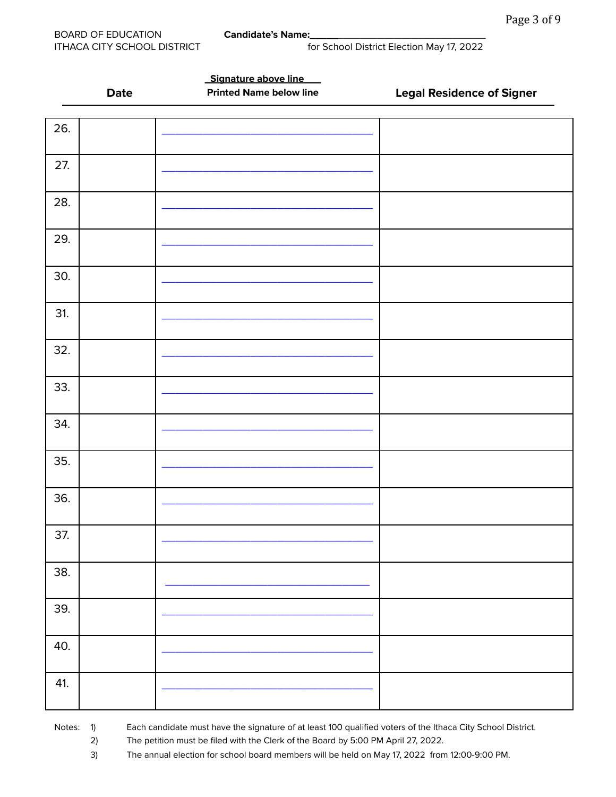|     |             | Signature above line           |                                  |
|-----|-------------|--------------------------------|----------------------------------|
|     | <b>Date</b> | <b>Printed Name below line</b> | <b>Legal Residence of Signer</b> |
|     |             |                                |                                  |
| 26. |             |                                |                                  |
|     |             |                                |                                  |
|     |             |                                |                                  |
| 27. |             |                                |                                  |
|     |             |                                |                                  |
|     |             |                                |                                  |
| 28. |             |                                |                                  |
|     |             |                                |                                  |
| 29. |             |                                |                                  |
|     |             |                                |                                  |
|     |             |                                |                                  |
| 30. |             |                                |                                  |
|     |             |                                |                                  |
| 31. |             |                                |                                  |
|     |             |                                |                                  |
|     |             |                                |                                  |
| 32. |             |                                |                                  |
|     |             |                                |                                  |
| 33. |             |                                |                                  |
|     |             |                                |                                  |
|     |             |                                |                                  |
| 34. |             |                                |                                  |
|     |             |                                |                                  |
| 35. |             |                                |                                  |
|     |             |                                |                                  |
|     |             |                                |                                  |
| 36. |             |                                |                                  |
|     |             |                                |                                  |
|     |             |                                |                                  |
| 37. |             |                                |                                  |
|     |             |                                |                                  |
| 38. |             |                                |                                  |
|     |             |                                |                                  |
|     |             |                                |                                  |
| 39. |             |                                |                                  |
|     |             |                                |                                  |
| 40. |             |                                |                                  |
|     |             |                                |                                  |
|     |             |                                |                                  |
| 41. |             |                                |                                  |
|     |             |                                |                                  |
|     |             |                                |                                  |

Notes: 1) Each candidate must have the signature of at least 100 qualified voters of the Ithaca City School District.

2) The petition must be filed with the Clerk of the Board by 5:00 PM April 27, 2022.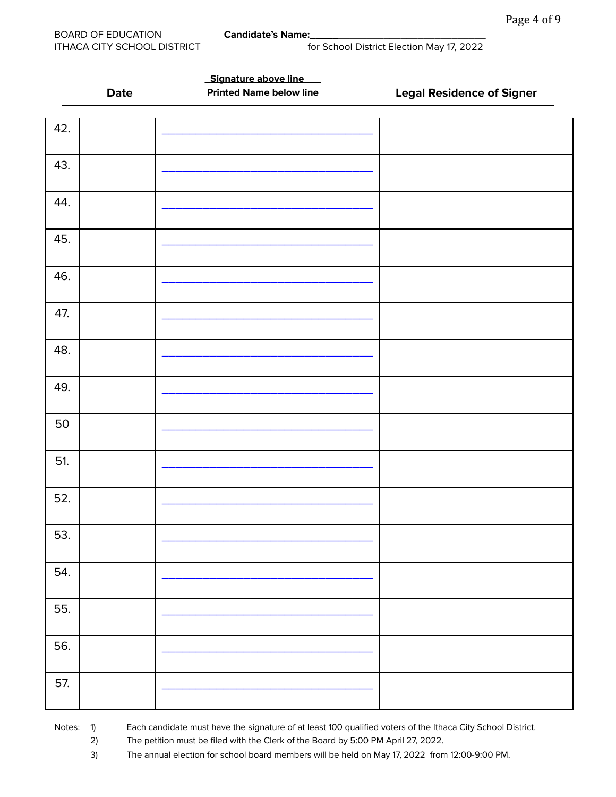|             | Signature above line           |                                  |
|-------------|--------------------------------|----------------------------------|
| <b>Date</b> | <b>Printed Name below line</b> | <b>Legal Residence of Signer</b> |
|             |                                |                                  |
| 42.         |                                |                                  |
| 43.         |                                |                                  |
|             |                                |                                  |
| 44.         |                                |                                  |
| 45.         |                                |                                  |
| 46.         |                                |                                  |
| 47.         |                                |                                  |
| 48.         |                                |                                  |
| 49.         |                                |                                  |
| 50          |                                |                                  |
| 51.         |                                |                                  |
| 52.         |                                |                                  |
| 53.         |                                |                                  |
| 54.         |                                |                                  |
| 55.         |                                |                                  |
| 56.         |                                |                                  |
| 57.         |                                |                                  |
|             |                                |                                  |

Notes: 1) Each candidate must have the signature of at least 100 qualified voters of the Ithaca City School District.

2) The petition must be filed with the Clerk of the Board by 5:00 PM April 27, 2022.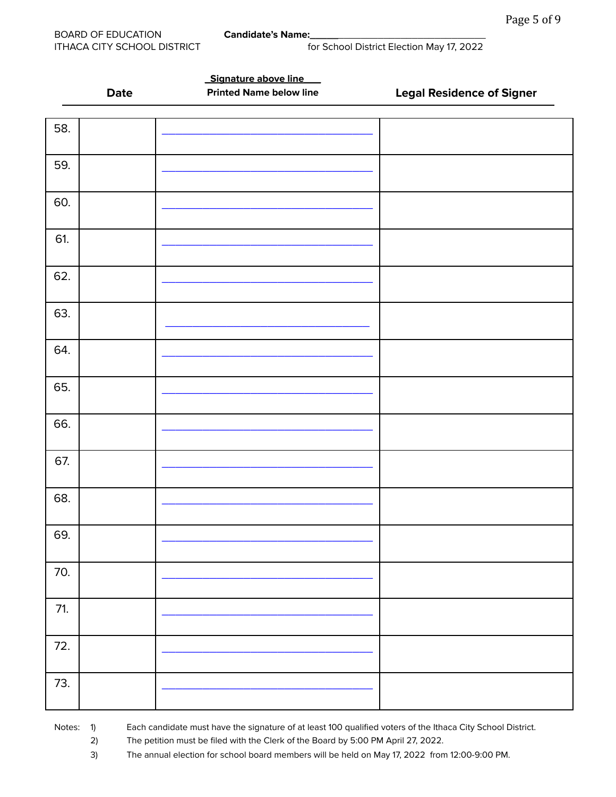|       | <b>Date</b> | Signature above line<br><b>Printed Name below line</b> | <b>Legal Residence of Signer</b> |
|-------|-------------|--------------------------------------------------------|----------------------------------|
|       |             |                                                        |                                  |
| 58.   |             |                                                        |                                  |
| 59.   |             |                                                        |                                  |
| 60.   |             |                                                        |                                  |
| 61.   |             |                                                        |                                  |
| 62.   |             |                                                        |                                  |
| 63.   |             |                                                        |                                  |
| 64.   |             |                                                        |                                  |
| 65.   |             |                                                        |                                  |
| 66.   |             |                                                        |                                  |
| 67.   |             |                                                        |                                  |
| 68.   |             |                                                        |                                  |
| 69.   |             |                                                        |                                  |
| 70.   |             |                                                        |                                  |
| $71.$ |             |                                                        |                                  |
| 72.   |             |                                                        |                                  |
| 73.   |             |                                                        |                                  |

Notes: 1) Each candidate must have the signature of at least 100 qualified voters of the Ithaca City School District.

2) The petition must be filed with the Clerk of the Board by 5:00 PM April 27, 2022.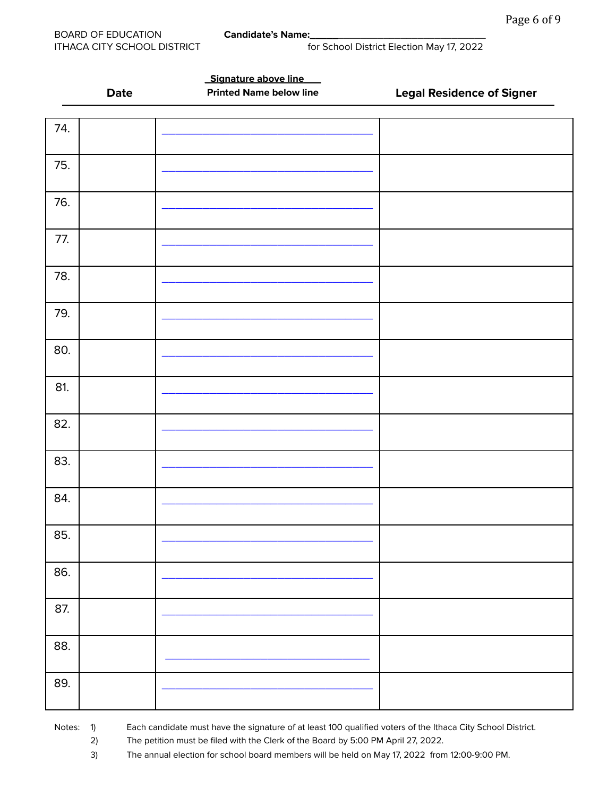| Date<br>74.<br>75.<br>76.<br>77.<br>78.<br>79.<br>80.<br>81.<br>82.<br>83.<br>84.<br>85.<br>86.<br>87.<br>88.<br>89. |  | Signature above line           |                                  |
|----------------------------------------------------------------------------------------------------------------------|--|--------------------------------|----------------------------------|
|                                                                                                                      |  | <b>Printed Name below line</b> | <b>Legal Residence of Signer</b> |
|                                                                                                                      |  |                                |                                  |
|                                                                                                                      |  |                                |                                  |
|                                                                                                                      |  |                                |                                  |
|                                                                                                                      |  |                                |                                  |
|                                                                                                                      |  |                                |                                  |
|                                                                                                                      |  |                                |                                  |
|                                                                                                                      |  |                                |                                  |
|                                                                                                                      |  |                                |                                  |
|                                                                                                                      |  |                                |                                  |
|                                                                                                                      |  |                                |                                  |
|                                                                                                                      |  |                                |                                  |
|                                                                                                                      |  |                                |                                  |
|                                                                                                                      |  |                                |                                  |
|                                                                                                                      |  |                                |                                  |
|                                                                                                                      |  |                                |                                  |
|                                                                                                                      |  |                                |                                  |
|                                                                                                                      |  |                                |                                  |
|                                                                                                                      |  |                                |                                  |
|                                                                                                                      |  |                                |                                  |
|                                                                                                                      |  |                                |                                  |
|                                                                                                                      |  |                                |                                  |
|                                                                                                                      |  |                                |                                  |
|                                                                                                                      |  |                                |                                  |
|                                                                                                                      |  |                                |                                  |
|                                                                                                                      |  |                                |                                  |
|                                                                                                                      |  |                                |                                  |
|                                                                                                                      |  |                                |                                  |
|                                                                                                                      |  |                                |                                  |
|                                                                                                                      |  |                                |                                  |
|                                                                                                                      |  |                                |                                  |
|                                                                                                                      |  |                                |                                  |
|                                                                                                                      |  |                                |                                  |
|                                                                                                                      |  |                                |                                  |
|                                                                                                                      |  |                                |                                  |
|                                                                                                                      |  |                                |                                  |
|                                                                                                                      |  |                                |                                  |
|                                                                                                                      |  |                                |                                  |

Notes: 1) Each candidate must have the signature of at least 100 qualified voters of the Ithaca City School District.

2) The petition must be filed with the Clerk of the Board by 5:00 PM April 27, 2022.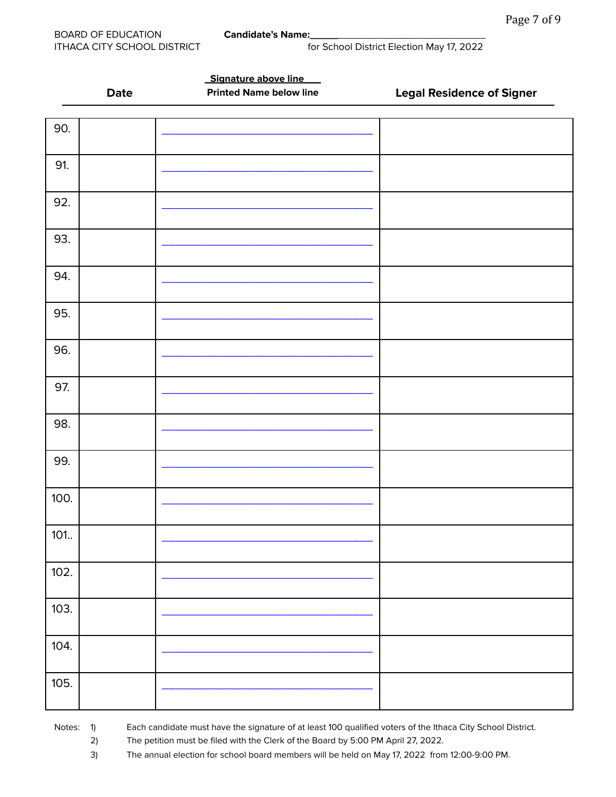|      | <b>Date</b> | Signature above line<br><b>Printed Name below line</b> | <b>Legal Residence of Signer</b> |
|------|-------------|--------------------------------------------------------|----------------------------------|
|      |             |                                                        |                                  |
| 90.  |             |                                                        |                                  |
| 91.  |             |                                                        |                                  |
| 92.  |             |                                                        |                                  |
| 93.  |             |                                                        |                                  |
| 94.  |             |                                                        |                                  |
| 95.  |             |                                                        |                                  |
| 96.  |             |                                                        |                                  |
| 97.  |             |                                                        |                                  |
| 98.  |             |                                                        |                                  |
| 99.  |             |                                                        |                                  |
| 100. |             |                                                        |                                  |
| 101. |             |                                                        |                                  |
| 102. |             |                                                        |                                  |
| 103. |             |                                                        |                                  |
| 104. |             |                                                        |                                  |
| 105. |             |                                                        |                                  |

Notes: 1) Each candidate must have the signature of at least 100 qualified voters of the Ithaca City School District.

2) The petition must be filed with the Clerk of the Board by 5:00 PM April 27, 2022.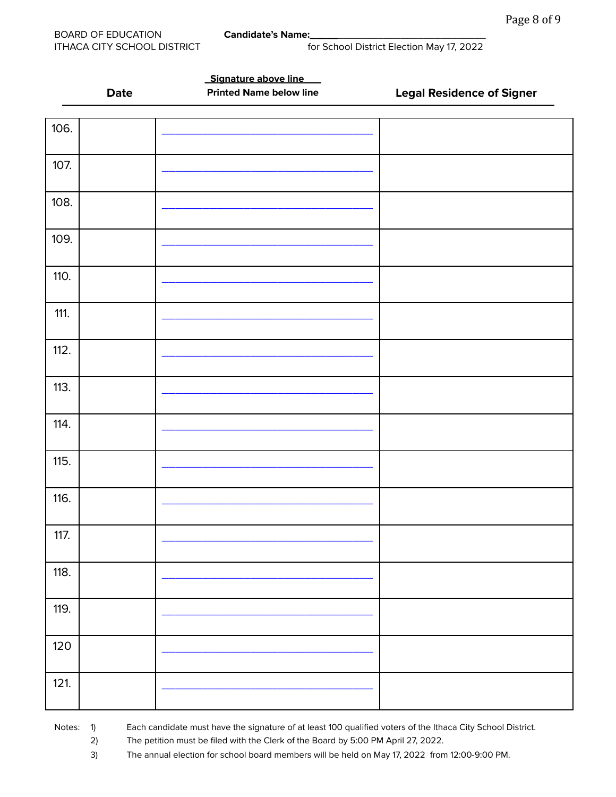**\_Signature above line\_\_\_**

ITHACA CITY SCHOOL DISTRICT for School District Election May 17, 2022

|       | <b>Date</b> | <b>Printed Name below line</b> | <b>Legal Residence of Signer</b> |
|-------|-------------|--------------------------------|----------------------------------|
| 106.  |             |                                |                                  |
| 107.  |             |                                |                                  |
| 108.  |             |                                |                                  |
| 109.  |             |                                |                                  |
| 110.  |             |                                |                                  |
| 111.  |             |                                |                                  |
| 112.  |             |                                |                                  |
| 113.  |             |                                |                                  |
| 114.  |             |                                |                                  |
| 115.  |             |                                |                                  |
| 116.  |             |                                |                                  |
| 117.  |             |                                |                                  |
| 118.  |             |                                |                                  |
| 119.  |             |                                |                                  |
| $120$ |             |                                |                                  |
| 121.  |             |                                |                                  |

Notes: 1) Each candidate must have the signature of at least 100 qualified voters of the Ithaca City School District.

2) The petition must be filed with the Clerk of the Board by 5:00 PM April 27, 2022.